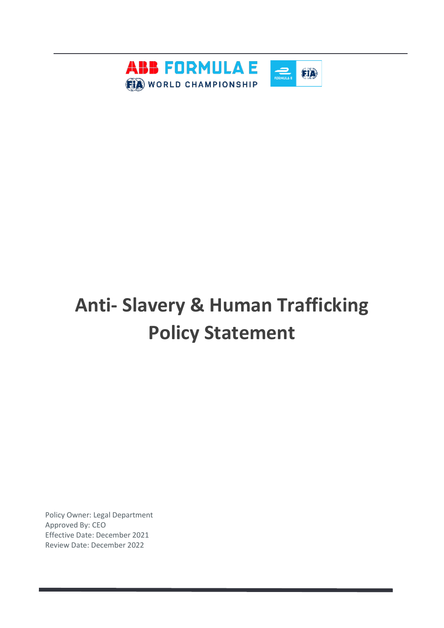

# **Anti- Slavery & Human Trafficking Policy Statement**

Policy Owner: Legal Department Approved By: CEO Effective Date: December 2021 Review Date: December 2022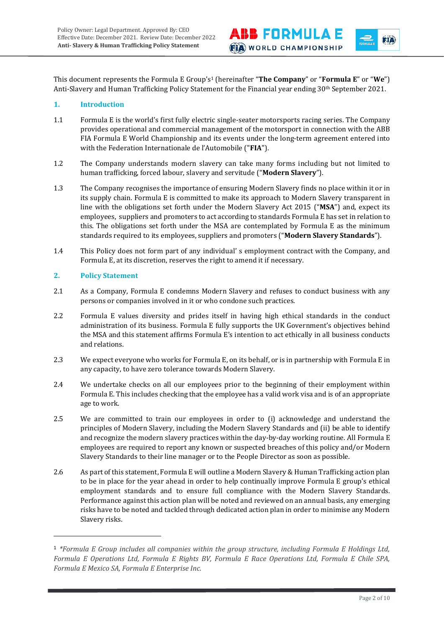This document represents the Formula E Group's<sup>1</sup> (hereinafter "**The Company**" or "**Formula E**" or "**We**") Anti-Slavery and Human Trafficking Policy Statement for the Financial year ending 30th September 2021.

**ABB FORMULAE** 

**FIA** WORLD CHAMPIONSHIP

fia

#### **1. Introduction**

- 1.1 Formula E is the world's first fully electric single-seater motorsports racing series. The Company provides operational and commercial management of the motorsport in connection with the ABB FIA Formula E World Championship and its events under the long-term agreement entered into with the Federation Internationale de l'Automobile ("**FIA**").
- 1.2 The Company understands modern slavery can take many forms including but not limited to human trafficking, forced labour, slavery and servitude ("**Modern Slavery**").
- 1.3 The Company recognises the importance of ensuring Modern Slavery finds no place within it or in its supply chain. Formula E is committed to make its approach to Modern Slavery transparent in line with the obligations set forth under the Modern Slavery Act 2015 ("**MSA**") and, expect its employees, suppliers and promoters to act according to standards Formula E has set in relation to this. The obligations set forth under the MSA are contemplated by Formula E as the minimum standards required to its employees, suppliers and promoters ("**Modern Slavery Standards**").
- 1.4 This Policy does not form part of any individual' s employment contract with the Company, and Formula E, at its discretion, reserves the right to amend it if necessary.

## **2. Policy Statement**

- 2.1 As a Company, Formula E condemns Modern Slavery and refuses to conduct business with any persons or companies involved in it or who condone such practices.
- 2.2 Formula E values diversity and prides itself in having high ethical standards in the conduct administration of its business. Formula E fully supports the UK Government's objectives behind the MSA and this statement affirms Formula E's intention to act ethically in all business conducts and relations.
- 2.3 We expect everyone who works for Formula E, on its behalf, or is in partnership with Formula E in any capacity, to have zero tolerance towards Modern Slavery.
- 2.4 We undertake checks on all our employees prior to the beginning of their employment within Formula E. This includes checking that the employee has a valid work visa and is of an appropriate age to work.
- 2.5 We are committed to train our employees in order to (i) acknowledge and understand the principles of Modern Slavery, including the Modern Slavery Standards and (ii) be able to identify and recognize the modern slavery practices within the day-by-day working routine. All Formula E employees are required to report any known or suspected breaches of this policy and/or Modern Slavery Standards to their line manager or to the People Director as soon as possible.
- 2.6 As part of this statement, Formula E will outline a Modern Slavery & Human Trafficking action plan to be in place for the year ahead in order to help continually improve Formula E group's ethical employment standards and to ensure full compliance with the Modern Slavery Standards. Performance against this action plan will be noted and reviewed on an annual basis, any emerging risks have to be noted and tackled through dedicated action plan in order to minimise any Modern Slavery risks.

<sup>1</sup> *\*Formula E Group includes all companies within the group structure, including Formula E Holdings Ltd, Formula E Operations Ltd, Formula E Rights BV, Formula E Race Operations Ltd, Formula E Chile SPA, Formula E Mexico SA, Formula E Enterprise Inc.*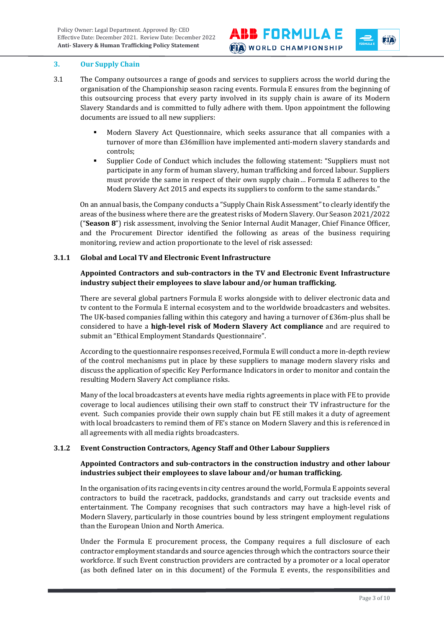fia



- 3.1 The Company outsources a range of goods and services to suppliers across the world during the organisation of the Championship season racing events. Formula E ensures from the beginning of this outsourcing process that every party involved in its supply chain is aware of its Modern Slavery Standards and is committed to fully adhere with them. Upon appointment the following documents are issued to all new suppliers:
	- Modern Slavery Act Questionnaire, which seeks assurance that all companies with a turnover of more than £36million have implemented anti-modern slavery standards and controls;
	- Supplier Code of Conduct which includes the following statement: "Suppliers must not participate in any form of human slavery, human trafficking and forced labour. Suppliers must provide the same in respect of their own supply chain… Formula E adheres to the Modern Slavery Act 2015 and expects its suppliers to conform to the same standards."

On an annual basis, the Company conducts a "Supply Chain Risk Assessment" to clearly identify the areas of the business where there are the greatest risks of Modern Slavery. Our Season 2021/2022 ("**Season 8**") risk assessment, involving the Senior Internal Audit Manager, Chief Finance Officer, and the Procurement Director identified the following as areas of the business requiring monitoring, review and action proportionate to the level of risk assessed:

## **3.1.1 Global and Local TV and Electronic Event Infrastructure**

## **Appointed Contractors and sub-contractors in the TV and Electronic Event Infrastructure industry subject their employees to slave labour and/or human trafficking.**

There are several global partners Formula E works alongside with to deliver electronic data and tv content to the Formula E internal ecosystem and to the worldwide broadcasters and websites. The UK-based companies falling within this category and having a turnover of £36m-plus shall be considered to have a **high-level risk of Modern Slavery Act compliance** and are required to submit an "Ethical Employment Standards Questionnaire".

According to the questionnaire responses received, Formula E will conduct a more in-depth review of the control mechanisms put in place by these suppliers to manage modern slavery risks and discuss the application of specific Key Performance Indicators in order to monitor and contain the resulting Modern Slavery Act compliance risks.

Many of the local broadcasters at events have media rights agreements in place with FE to provide coverage to local audiences utilising their own staff to construct their TV infrastructure for the event. Such companies provide their own supply chain but FE still makes it a duty of agreement with local broadcasters to remind them of FE's stance on Modern Slavery and this is referenced in all agreements with all media rights broadcasters.

## **3.1.2 Event Construction Contractors, Agency Staff and Other Labour Suppliers**

## **Appointed Contractors and sub-contractors in the construction industry and other labour industries subject their employees to slave labour and/or human trafficking.**

In the organisation of its racing events in city centres around the world, Formula E appoints several contractors to build the racetrack, paddocks, grandstands and carry out trackside events and entertainment. The Company recognises that such contractors may have a high-level risk of Modern Slavery, particularly in those countries bound by less stringent employment regulations than the European Union and North America.

Under the Formula E procurement process, the Company requires a full disclosure of each contractor employment standards and source agencies through which the contractors source their workforce. If such Event construction providers are contracted by a promoter or a local operator (as both defined later on in this document) of the Formula E events, the responsibilities and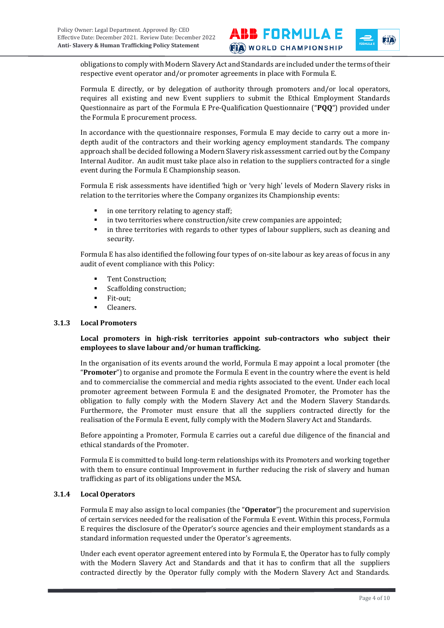**ABB FORMULAE FIA** WORLD CHAMPIONSHIP

fia

obligations to comply with Modern Slavery Act and Standards are included under the terms of their respective event operator and/or promoter agreements in place with Formula E.

Formula E directly, or by delegation of authority through promoters and/or local operators, requires all existing and new Event suppliers to submit the Ethical Employment Standards Questionnaire as part of the Formula E Pre-Qualification Questionnaire ("**PQQ**") provided under the Formula E procurement process.

In accordance with the questionnaire responses, Formula E may decide to carry out a more indepth audit of the contractors and their working agency employment standards. The company approach shall be decided following a Modern Slavery risk assessment carried out by the Company Internal Auditor. An audit must take place also in relation to the suppliers contracted for a single event during the Formula E Championship season.

Formula E risk assessments have identified 'high or 'very high' levels of Modern Slavery risks in relation to the territories where the Company organizes its Championship events:

- in one territory relating to agency staff;
- in two territories where construction/site crew companies are appointed;
- in three territories with regards to other types of labour suppliers, such as cleaning and security.

Formula E has also identified the following four types of on-site labour as key areas of focus in any audit of event compliance with this Policy:

- Tent Construction;
- Scaffolding construction;
- Fit-out;
- Cleaners.

#### **3.1.3 Local Promoters**

#### **Local promoters in high-risk territories appoint sub-contractors who subject their employees to slave labour and/or human trafficking.**

In the organisation of its events around the world, Formula E may appoint a local promoter (the "**Promoter**") to organise and promote the Formula E event in the country where the event is held and to commercialise the commercial and media rights associated to the event. Under each local promoter agreement between Formula E and the designated Promoter, the Promoter has the obligation to fully comply with the Modern Slavery Act and the Modern Slavery Standards. Furthermore, the Promoter must ensure that all the suppliers contracted directly for the realisation of the Formula E event, fully comply with the Modern Slavery Act and Standards.

Before appointing a Promoter, Formula E carries out a careful due diligence of the financial and ethical standards of the Promoter.

Formula E is committed to build long-term relationships with its Promoters and working together with them to ensure continual Improvement in further reducing the risk of slavery and human trafficking as part of its obligations under the MSA.

#### **3.1.4 Local Operators**

Formula E may also assign to local companies (the "**Operator**") the procurement and supervision of certain services needed for the realisation of the Formula E event. Within this process, Formula E requires the disclosure of the Operator's source agencies and their employment standards as a standard information requested under the Operator's agreements.

Under each event operator agreement entered into by Formula E, the Operator has to fully comply with the Modern Slavery Act and Standards and that it has to confirm that all the suppliers contracted directly by the Operator fully comply with the Modern Slavery Act and Standards.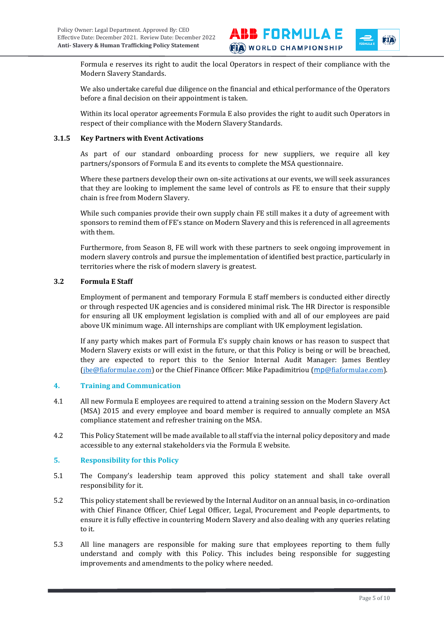fia

Formula e reserves its right to audit the local Operators in respect of their compliance with the Modern Slavery Standards.

We also undertake careful due diligence on the financial and ethical performance of the Operators before a final decision on their appointment is taken.

Within its local operator agreements Formula E also provides the right to audit such Operators in respect of their compliance with the Modern Slavery Standards.

#### **3.1.5 Key Partners with Event Activations**

As part of our standard onboarding process for new suppliers, we require all key partners/sponsors of Formula E and its events to complete the MSA questionnaire.

Where these partners develop their own on-site activations at our events, we will seek assurances that they are looking to implement the same level of controls as FE to ensure that their supply chain is free from Modern Slavery.

While such companies provide their own supply chain FE still makes it a duty of agreement with sponsors to remind them of FE's stance on Modern Slavery and this is referenced in all agreements with them.

Furthermore, from Season 8, FE will work with these partners to seek ongoing improvement in modern slavery controls and pursue the implementation of identified best practice, particularly in territories where the risk of modern slavery is greatest.

## **3.2 Formula E Staff**

Employment of permanent and temporary Formula E staff members is conducted either directly or through respected UK agencies and is considered minimal risk. The HR Director is responsible for ensuring all UK employment legislation is complied with and all of our employees are paid above UK minimum wage. All internships are compliant with UK employment legislation.

If any party which makes part of Formula E's supply chain knows or has reason to suspect that Modern Slavery exists or will exist in the future, or that this Policy is being or will be breached, they are expected to report this to the Senior Internal Audit Manager: James Bentley [\(jbe@fiaformulae.com\)](mailto:jbe@fiaformulae.com) or the Chief Finance Officer: Mike Papadimitriou (mp@fiaformulae.com).

#### **4. Training and Communication**

- 4.1 All new Formula E employees are required to attend a training session on the Modern Slavery Act (MSA) 2015 and every employee and board member is required to annually complete an MSA compliance statement and refresher training on the MSA.
- 4.2 This Policy Statement will be made available to all staff via the internal policy depository and made accessible to any external stakeholders via the Formula E website.

## **5. Responsibility for this Policy**

- 5.1 The Company's leadership team approved this policy statement and shall take overall responsibility for it.
- 5.2 This policy statement shall be reviewed by the Internal Auditor on an annual basis, in co-ordination with Chief Finance Officer, Chief Legal Officer, Legal, Procurement and People departments, to ensure it is fully effective in countering Modern Slavery and also dealing with any queries relating to it.
- 5.3 All line managers are responsible for making sure that employees reporting to them fully understand and comply with this Policy. This includes being responsible for suggesting improvements and amendments to the policy where needed.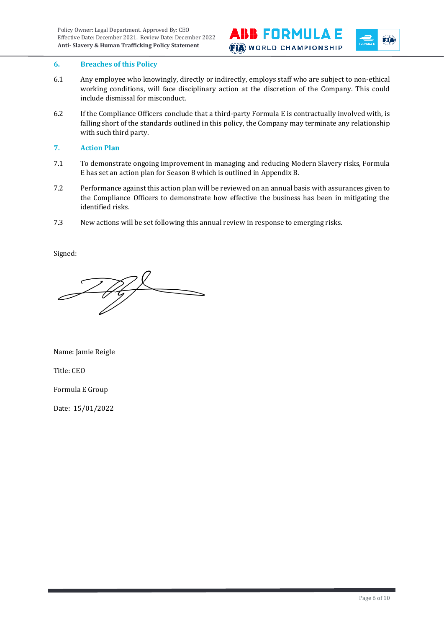



#### **6. Breaches of this Policy**

- 6.1 Any employee who knowingly, directly or indirectly, employs staff who are subject to non-ethical working conditions, will face disciplinary action at the discretion of the Company. This could include dismissal for misconduct.
- 6.2 If the Compliance Officers conclude that a third-party Formula E is contractually involved with, is falling short of the standards outlined in this policy, the Company may terminate any relationship with such third party.
- **7. Action Plan**
- 7.1 To demonstrate ongoing improvement in managing and reducing Modern Slavery risks, Formula E has set an action plan for Season 8 which is outlined in Appendix B.
- 7.2 Performance against this action plan will be reviewed on an annual basis with assurances given to the Compliance Officers to demonstrate how effective the business has been in mitigating the identified risks.
- 7.3 New actions will be set following this annual review in response to emerging risks.

Signed:

 $\mathscr{H}$ t

Name: Jamie Reigle

Title: CEO

Formula E Group

Date: 15/01/2022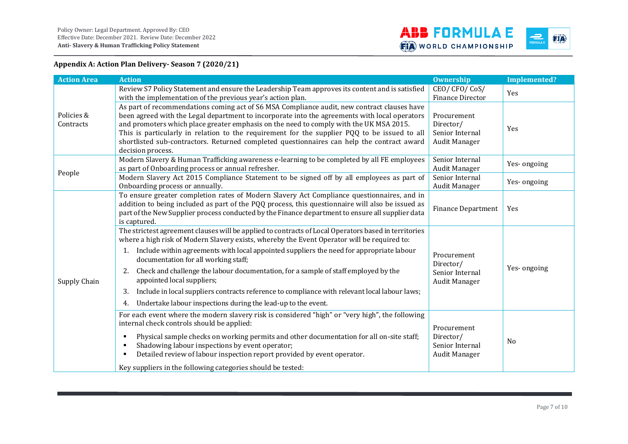

**Appendix A: Action Plan Delivery- Season 7 (2020/21)**

| <b>Action Area</b>      | <b>Action</b>                                                                                                                                                                                                                                                                                                                                                                                                                                                                                                                                                                                                                                          | <b>Ownership</b>                                             | <b>Implemented?</b> |
|-------------------------|--------------------------------------------------------------------------------------------------------------------------------------------------------------------------------------------------------------------------------------------------------------------------------------------------------------------------------------------------------------------------------------------------------------------------------------------------------------------------------------------------------------------------------------------------------------------------------------------------------------------------------------------------------|--------------------------------------------------------------|---------------------|
| Policies &<br>Contracts | Review S7 Policy Statement and ensure the Leadership Team approves its content and is satisfied<br>with the implementation of the previous year's action plan.                                                                                                                                                                                                                                                                                                                                                                                                                                                                                         | CEO/CFO/CoS/<br>Finance Director                             | <b>Yes</b>          |
|                         | As part of recommendations coming act of S6 MSA Compliance audit, new contract clauses have<br>been agreed with the Legal department to incorporate into the agreements with local operators<br>and promoters which place greater emphasis on the need to comply with the UK MSA 2015.<br>This is particularly in relation to the requirement for the supplier PQQ to be issued to all<br>shortlisted sub-contractors. Returned completed questionnaires can help the contract award<br>decision process.                                                                                                                                              | Procurement<br>Director/<br>Senior Internal<br>Audit Manager | Yes                 |
| People                  | Modern Slavery & Human Trafficking awareness e-learning to be completed by all FE employees<br>as part of Onboarding process or annual refresher.                                                                                                                                                                                                                                                                                                                                                                                                                                                                                                      | Senior Internal<br>Audit Manager                             | Yes-ongoing         |
|                         | Modern Slavery Act 2015 Compliance Statement to be signed off by all employees as part of<br>Onboarding process or annually.                                                                                                                                                                                                                                                                                                                                                                                                                                                                                                                           | Senior Internal<br>Audit Manager                             | Yes-ongoing         |
| Supply Chain            | To ensure greater completion rates of Modern Slavery Act Compliance questionnaires, and in<br>addition to being included as part of the PQQ process, this questionnaire will also be issued as<br>part of the New Supplier process conducted by the Finance department to ensure all supplier data<br>is captured.                                                                                                                                                                                                                                                                                                                                     | <b>Finance Department</b>                                    | Yes                 |
|                         | The strictest agreement clauses will be applied to contracts of Local Operators based in territories<br>where a high risk of Modern Slavery exists, whereby the Event Operator will be required to:<br>Include within agreements with local appointed suppliers the need for appropriate labour<br>1.<br>documentation for all working staff;<br>Check and challenge the labour documentation, for a sample of staff employed by the<br>2.<br>appointed local suppliers;<br>Include in local suppliers contracts reference to compliance with relevant local labour laws;<br>3.<br>Undertake labour inspections during the lead-up to the event.<br>4. | Procurement<br>Director/<br>Senior Internal<br>Audit Manager | Yes-ongoing         |
|                         | For each event where the modern slavery risk is considered "high" or "very high", the following<br>internal check controls should be applied:<br>Physical sample checks on working permits and other documentation for all on-site staff;<br>٠<br>Shadowing labour inspections by event operator;<br>٠<br>Detailed review of labour inspection report provided by event operator.<br>٠<br>Key suppliers in the following categories should be tested:                                                                                                                                                                                                  | Procurement<br>Director/<br>Senior Internal<br>Audit Manager | N <sub>0</sub>      |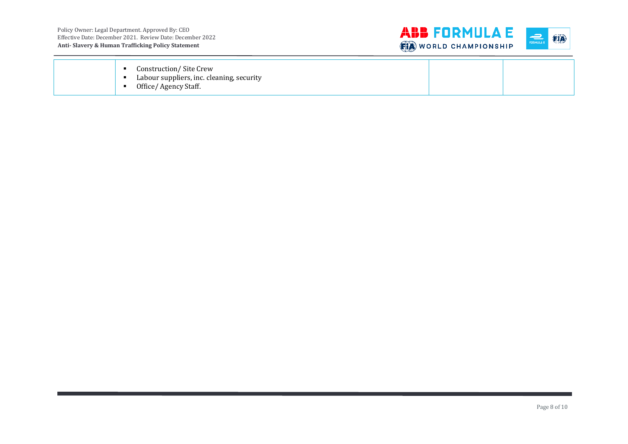

| Construction/ Site Crew<br>Labour suppliers, inc. cleaning, security<br>Office/ Agency Staff. |  |
|-----------------------------------------------------------------------------------------------|--|
|                                                                                               |  |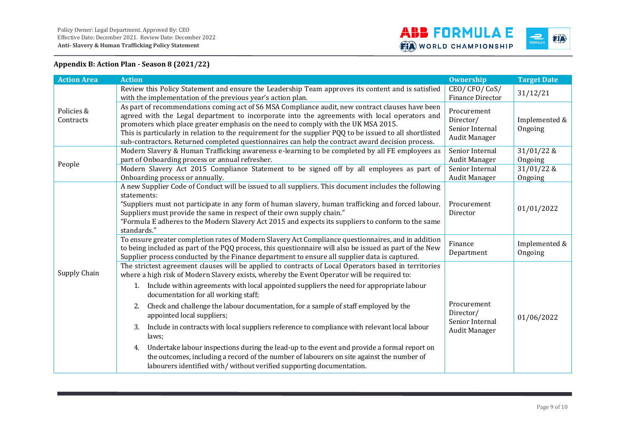

## **Appendix B: Action Plan - Season 8 (2021/22)**

| <b>Action Area</b>      | <b>Action</b>                                                                                                                                                                                                                                                                                                                                                                                                                                                                                                                                                                                                                                                                                                                                                                                                                                                     | <b>Ownership</b>                                             | <b>Target Date</b>       |
|-------------------------|-------------------------------------------------------------------------------------------------------------------------------------------------------------------------------------------------------------------------------------------------------------------------------------------------------------------------------------------------------------------------------------------------------------------------------------------------------------------------------------------------------------------------------------------------------------------------------------------------------------------------------------------------------------------------------------------------------------------------------------------------------------------------------------------------------------------------------------------------------------------|--------------------------------------------------------------|--------------------------|
| Policies &<br>Contracts | Review this Policy Statement and ensure the Leadership Team approves its content and is satisfied<br>with the implementation of the previous year's action plan.                                                                                                                                                                                                                                                                                                                                                                                                                                                                                                                                                                                                                                                                                                  | CEO/CFO/CoS/<br>Finance Director                             | 31/12/21                 |
|                         | As part of recommendations coming act of S6 MSA Compliance audit, new contract clauses have been<br>agreed with the Legal department to incorporate into the agreements with local operators and<br>promoters which place greater emphasis on the need to comply with the UK MSA 2015.<br>This is particularly in relation to the requirement for the supplier PQQ to be issued to all shortlisted<br>sub-contractors. Returned completed questionnaires can help the contract award decision process.                                                                                                                                                                                                                                                                                                                                                            | Procurement<br>Director/<br>Senior Internal<br>Audit Manager | Implemented &<br>Ongoing |
| People                  | Modern Slavery & Human Trafficking awareness e-learning to be completed by all FE employees as<br>part of Onboarding process or annual refresher.                                                                                                                                                                                                                                                                                                                                                                                                                                                                                                                                                                                                                                                                                                                 | Senior Internal<br>Audit Manager                             | $31/01/22$ &<br>Ongoing  |
|                         | Modern Slavery Act 2015 Compliance Statement to be signed off by all employees as part of<br>Onboarding process or annually.                                                                                                                                                                                                                                                                                                                                                                                                                                                                                                                                                                                                                                                                                                                                      | Senior Internal<br>Audit Manager                             | $31/01/22$ &<br>Ongoing  |
| Supply Chain            | A new Supplier Code of Conduct will be issued to all suppliers. This document includes the following<br>statements:<br>"Suppliers must not participate in any form of human slavery, human trafficking and forced labour.<br>Suppliers must provide the same in respect of their own supply chain."<br>"Formula E adheres to the Modern Slavery Act 2015 and expects its suppliers to conform to the same<br>standards."                                                                                                                                                                                                                                                                                                                                                                                                                                          | Procurement<br>Director                                      | 01/01/2022               |
|                         | To ensure greater completion rates of Modern Slavery Act Compliance questionnaires, and in addition<br>to being included as part of the PQQ process, this questionnaire will also be issued as part of the New<br>Supplier process conducted by the Finance department to ensure all supplier data is captured.                                                                                                                                                                                                                                                                                                                                                                                                                                                                                                                                                   | Finance<br>Department                                        | Implemented &<br>Ongoing |
|                         | The strictest agreement clauses will be applied to contracts of Local Operators based in territories<br>where a high risk of Modern Slavery exists, whereby the Event Operator will be required to:<br>Include within agreements with local appointed suppliers the need for appropriate labour<br>1.<br>documentation for all working staff;<br>Check and challenge the labour documentation, for a sample of staff employed by the<br>2.<br>appointed local suppliers;<br>Include in contracts with local suppliers reference to compliance with relevant local labour<br>3.<br>laws;<br>Undertake labour inspections during the lead-up to the event and provide a formal report on<br>4.<br>the outcomes, including a record of the number of labourers on site against the number of<br>labourers identified with/without verified supporting documentation. | Procurement<br>Director/<br>Senior Internal<br>Audit Manager | 01/06/2022               |